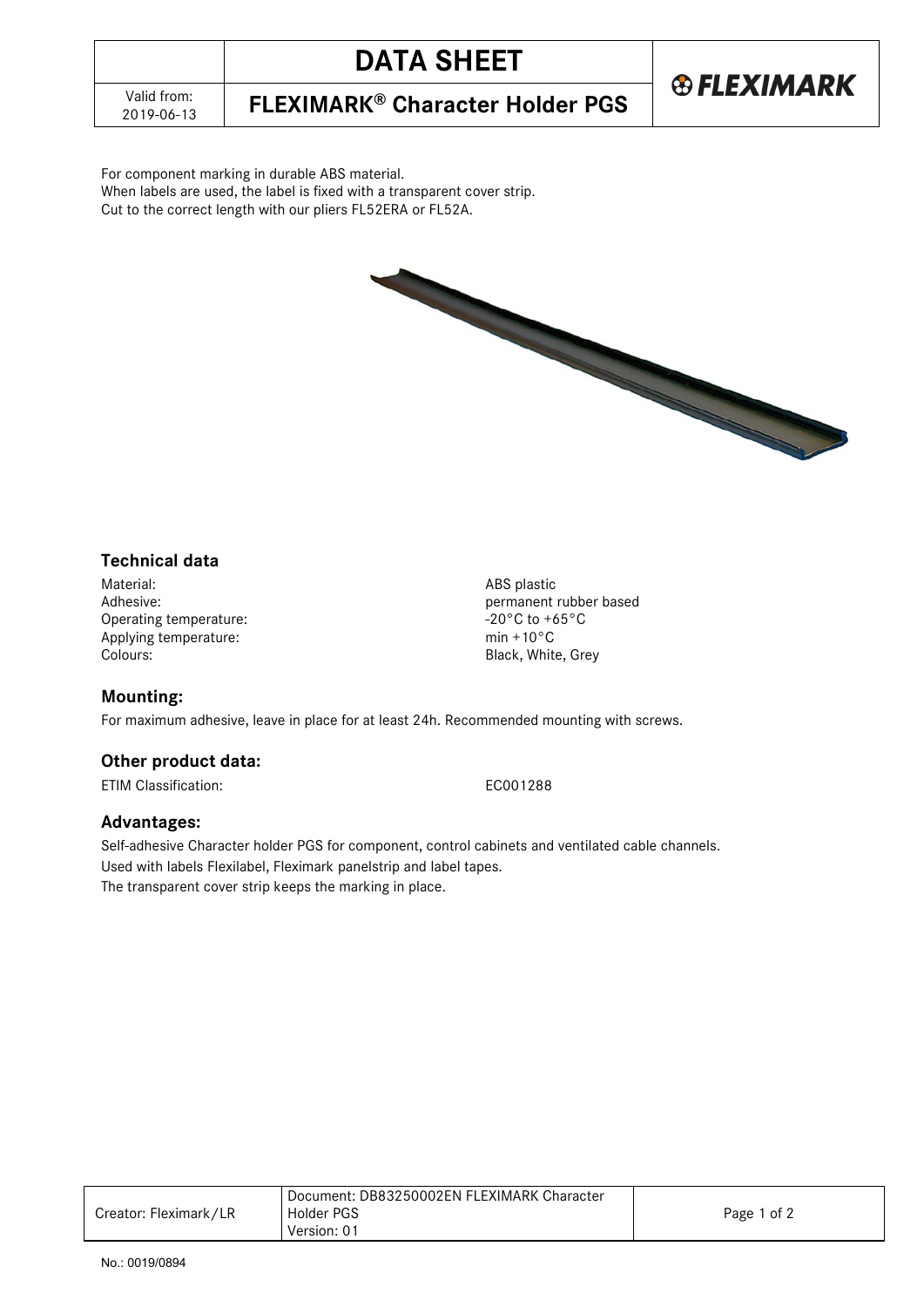## **DATA SHEET**

2019-06-13 **FLEXIMARK® Character Holder PGS**

For component marking in durable ABS material. When labels are used, the label is fixed with a transparent cover strip. Cut to the correct length with our pliers FL52ERA or FL52A.



**®FLEXIMARK** 

## **Technical data**

Material: ABS plastic<br>Adhesive: Called a Second Material: Adhesive: Called a Second Material: Adhesive: Called a Second Material: A<br>Called a Second Material: Called a Second Material: Adhesive: Called a Second Material: Ca Operating temperature:  $\angle 20^{\circ}C$  to +65°C to +65°C to +65°C to +65°C to +65°C to +65°C to +65°C to +65°C to +65°C to +65°C to +65°C to +65°C to +65°C to +65°C to +65°C to +65°C to +65°C to +65°C to +65°C to +65°C to +65 Applying temperature:<br>Colours:

permanent rubber based<br>-20°C to +65°C Black, White, Grey

### **Mounting:**

For maximum adhesive, leave in place for at least 24h. Recommended mounting with screws.

### **Other product data:**

ETIM Classification: EC001288

#### **Advantages:**

Self-adhesive Character holder PGS for component, control cabinets and ventilated cable channels. Used with labels Flexilabel, Fleximark panelstrip and label tapes. The transparent cover strip keeps the marking in place.

|                       | Document: DB83250002EN FLEXIMARK Character |             |
|-----------------------|--------------------------------------------|-------------|
| Creator: Fleximark/LR | <b>Holder PGS</b>                          | Page 1 of 2 |
|                       | Version: 01                                |             |